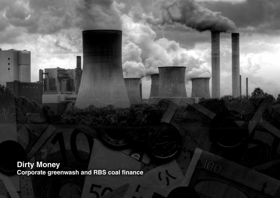**Dirty Money Corporate greenwash and RBS coal finance**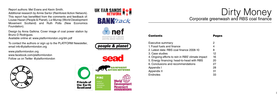# Dirty Money Corporate greenwash and RBS coal finance



Executive summary

- Appendix II
- **Endnotes**
- 1. Fossil fuels and finance
- 2. Latest data: RBS coal finance 2008-10
- 3. Case studies
- 4. Ongoing efforts to rein in RBS' climate impact
- 5. Energy financing: head-to-head with RBS
- 6. Conclusions and recommendations

Appendix I

#### Pages

- 2 4 8
- 12 16
- 20 27 28

Report authors: Mel Evans and Kevin Smith.

Additional research by Annie Sartor (Rainforest Action Network). This report has benefitted from the comments and feedback of: Louise Hazan (People & Planet), Liz Murray (World Development Movement Scotland) and Ruth Potts (New Economics Foundation).

Design by Anna Galkina. Cover image of coal power station by Bruno D Rodrigues.

Available online at: www.platformlondon.org/dm.pdf

To contact the authors or sign up to the PLATFORM Newsletter, email info@platformlondon.org

www.platformlondon.org www.facebook.com/platformlondon Follow us on Twitter @platformlondon





UK TAR SANDS **No. 4** 

**RANKTrack** 

economics as if people and the planet mattered

people & planet tudent action on world poverty and the environm

nef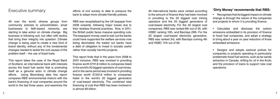All international banks were ranked according to the amount of finance they had been involved in providing to the 20 biggest coal mining operators and the 20 biggest generators of coal-based electricity. For the 20 largest coal companies, RBS was ranked 8th out of 35, with HSBC ranking 10th, and Barclays 29th. For the 20 largest coal-based electricity generators, RBS was ranked 3rd, with Barclays coming 4th and HSBC 11th out of 69.

### Executive summary

All over the world, diverse groups from community activists to schoolchildren, small businesses to faith-based networks, are starting to take action on climate change. Big business is following suit, but often with tactics that bring their integrity into question. Climate change is being used to create a new kind of brand identity, without any of the fundamental changes needed to tackle the root causes of the problem itself – the use of fossil fuels.

This report takes the case of the Royal Bank of Scotland, an international bank with interests across the fossil fuel sector that is promoting itself as a genuine actor in climate change efforts. Using Bloomberg data this report compares RBS' environmental rhetoric with the bank's financing of coal companies around the world in the last three years, and examines the

efforts of civil society to date to pressure the bank to adopt more climate-friendly policies.

RBS was recapitalised by the UK taxpayer from 2008 onwards, following major losses due to their reckless financial practices. Now, in 2011, the British public faces massive spending cuts. The taxpayers' money used to bail out the banks could have supported the welfare services now being decimated; the bailed out banks have a debt of obligation to invest in socially useful rather than socially harmful projects.

This report finds that in the years from 2008 to 2010 inclusive, RBS was involved in providing finance worth €791.8 million to companies listed in the world's 20 biggest operators of coal mines, and in the same period was involved in providing finance worth €7,201.8 million to companies listed in the world's 20 biggest generators of coal-based electricity. The combined total financing of coal that RBS has been involved in is almost €8 billion.

### **'Dirty Money' recommends that RBS:**

• Recognises that its biggest impact on climate change is through the nature of the companies and projects to whom it is providing finance.

• Calculates and discloses the carbon emissions embedded in its provision of finance to fossil fuel companies, and adopt a strategy to bring about a year on year reduction of those embedded emissions.

• Designs and adopts sectoral polices for companies or projects operating in particularly problematic fossil fuel sectors, such as tar sands extraction in Canada, drilling for oil in the Arctic and the provision of loans to support new coal operations.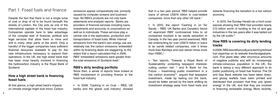that in a two year period, RBS helped provide loans of almost US\$16 billion to coal-related companies, more than any other UK bank.<sup>2</sup>

• In 2010, the report 'Cashing in on Tar Sands – RBS, UK Banks and Canada's 'blood oil' examined RBS' controversial links to oil companies involved in tar sands extraction in Canada. In the two year period examined, RBS led underwriting for over US\$7.5 billion in loans to tar sands related companies, over 5 times more than Barclays and over eleven times more than HSBC.<sup>3</sup>

• In 2010, the Sunday Herald ran a front cover exposé showing that RBS had provided nearly £13 billion worth of funding to the oil and gas industries in the two years after it was bailed out by the UK public.<sup>6</sup>

• Two reports, 'Towards a Royal Bank of Sustainability: protecting taxpayers' interests; cutting carbon risk' 4 and 'A Bank for the Future – maximising public investment in a low carbon economy'<sup>5</sup> argued that taxpayers' investment, made by bailing out the bank, would be better served by the bank shifting its investment strategy away from fossil fuels and

towards financing the transition to a low carbon economy.

### **How RBS is covering its dirty lending tracks**

In 2006, RBS was still proudly proclaiming its fossil fuel expertise on its website theoilandgasbank. com. Five years later, after enormous amounts of negative publicity and with an increasingly climate-conscious population in the UK, the bank is taking a very different approach to its public positioning on fossil fuel finance. The Oil and Gas Bank website has been taken down, and glossy leaflets have been printed and distributed that proclaim that they use 'green energy' in the UK, and that they are involved in financing renewable energy. More recently,

• In 2008, 'Cashing in on Coal – RBS, UK banks and the global coal industry', showed

### Part 1: Fossil fuels and finance

Despite the fact that there is not a single lump of coal or drop of oil to be found beneath the streets of London, the City acts as one of the international capitals of the fossil fuel industry. Companies operate here to take advantage of the complex web of financial, political and legal services that allow them to mine and drill in many other parts of the world. Only a handful of the bigger companies have sufficient financial resources available to pay for the new infrastructure necessary to expand their operations. In the UK, the high street bank that has been most heavily involved in financing the hydrocarbon industry is the Royal Bank of Scotland.

#### **How a high street bank is financing fossil fuels**

At first glance, a high street bank's impacts on climate change might look minor. Carbon emissions appear comparatively low, primarily caused by computer screens and business trips. Yet RBS's products are not only bank statements and analysts' reports. Banks are providers of financial services including loans, investments and accounts; to corporations as well as to individuals. These services play a central role in the exploration, production and transportation of fossil fuels. While 'internal' emissions from the bank's own energy use are relatively low, the carbon emissions 'embedded' within its financing deals are staggering, to the extent that a report calculated that in 2006, RBS' 'embedded' emissions were greater than the total emissions of Scotland itself.1

#### **RBS's dirty lending portfolio**

Since then, a series of reports have looked at RBS involvement in providing finance to the fossil fuel industry.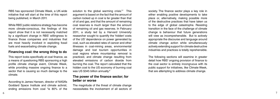7

RBS has sponsored Climate Week, a UK-wide initiative that will start at the time of this report being published, in March 2011.

While RBS' public relations strategy has become more climate-conscious, the findings of this report show that it is not necessarily matched by a significant change in RBS' willingness to finance those companies and industries that are most heavily involved in exploiting fossil fuels and exacerbating climate change.

#### **Financing coal: the wrong thing to do**

This report looks specifically at coal finance, as a means of questioning RBS sponsoring a high profile climate change event, Climate Week, while providing massive ongoing finance to a sector that is causing so much damage to the climate.

According to James Hansen, director of NASA's Goddard Space Institute and climate activist, ending emissions from coal "is 80% of the

solution to the global warming crisis."7 This argument is based on the fact that the amount of carbon locked up in coal is far greater than that of oil and gas, and that the amount of remaining coal reserves is much larger than the amount of remaining oil and gas reserves. In February 2011, a study led by a Harvard University researcher sought to quantify the 'hidden' costs of the US' dependence on power generated by coal, such as elevated rates of cancer and other illnesses in coal-mining areas, environmental damage and lost tourism opportunities in coal regions where mountaintop removal is practiced, and climate change resulting from elevated emissions of carbon dioxide from burning the coal. The report calculated that the hidden cost to the US economy of burning coal was US \$345 billion annually.<sup>8</sup>

#### **The power of the finance sector; for better or worse**

The magnitude of the threat of climate change necessitates the involvement of all sectors of society. The finance sector plays a key role in either enabling positive developments to take place or, alternatively, making possible more of the destructive practices that have taken us to the edge of global catastrophe. Resisting transition in the face of the challenge of climate change is behaviour that future generations will view as incomprehensible. But to actively appropriate the discourse and language around climate change action while simultaneously actively extending support for climate destructive industries and practices is totally reprehensible.

The following sections will examine in greater detail how RBS' ongoing provision of finance to the coal sector is entirely incongruous with its public support for initiatives, like Climate Week, that are attempting to address climate change.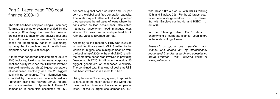9

The data has been compiled using a Bloomberg Terminal, a computer system provided by the company Bloomberg that enables financial professionals to monitor and analyse real-time financial market data movements. Figures are based on reporting by banks to Bloomberg, but may be incomplete due to undisclosed proprietary banking relationships.

A three year period was selected, from 2008 to 2010 inclusive, looking at the loans, corporate debt and equity issuance that RBS was involved in providing to the world's 20 biggest generators of coal-based electricity and the 20 biggest coal mining companies. This information was compiled by the economic research institute Profundo<sup>9</sup> using the relevant annual reports, and is summarized in Appendix 1. These 20 companies in each field accounted for 36.2

per cent of global coal production and 37.2 per cent of the global coal-fired generation capacity. The totals may not reflect actual lending, rather they represent the full value of loans where the bank acted as lead book-runner (also called managing underwriter, lead manager, etc). Where RBS was one of multiple lead book runners, value is awarded pro-rata.

According to the research, RBS was involved in providing finance worth €791.8 million to the world's 20 biggest coal mining companies from the beginning of 2008 to the end of 2010, and in the same time period was involved in providing finance worth  $\epsilon$ 7,201.8 million to the world's 20 biggest generators of coal-based electricity. The combined total financing of coal that RBS has been involved in is almost €8 billion.

Using the same Bloomberg system, it is possible to rank all of the major banks in the world that have provided finance to the same companies listed. For the 20 largest coal companies, RBS

was ranked 8th out of 35, with HSBC ranking 10th, and Barclays 29th. For the 20 largest coalbased electricity generators, RBS was ranked 3rd, with Barclays coming 4th and HSBC 11th out of 69.

In the following table, 'Corp' refers to underwriting of corporate finance; 'Loan' refers to the underwriting of loans.

*Research on global coal operations and finance was carried out by internationally recognised financial research and consultancy group Profundo. Visit Profundo online at www.profundo.nl*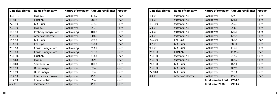| Date deal signed | <b>Name of company</b>   | <b>Nature of company</b>    | <b>Amount (€Millions)</b> | <b>Product</b> |
|------------------|--------------------------|-----------------------------|---------------------------|----------------|
| 1.4.09           | <b>Vattenfall AB</b>     | Coal power                  | 42.5                      | Corp           |
| 1.4.09           | <b>Vattenfall AB</b>     | Coal power                  | 121.3                     | Corp           |
| 18.3.09          | <b>Vattenfall AB</b>     | Coal power                  | 255.6                     | Corp           |
| 5.3.09           | <b>Vattenfall AB</b>     | Coal power                  | 55.6                      | Corp           |
| 5.3.09           | <b>Vattenfall AB</b>     | Coal power                  | 122.2                     | Corp           |
| 5.3.09           | <b>Vattenfall AB</b>     | Coal power                  | 122.2                     | Corp           |
| 20.2.09          | Enel Spa                 | Coal power                  | 666.7                     | Loan           |
| 3.2.09           | <b>GDF Suez</b>          | Coal power                  | 388.1                     | Corp           |
| 9.1.09           | <b>GDF Suez</b>          | Coal power                  | 116.6                     | Corp           |
| 26.11.08         | <b>E.ON AG</b>           | Coal power                  | 1136.4                    | Loan           |
| 25.11.08         | Vattenfall AB            | Coal power                  | 212.5                     | Corp           |
| 25.11.08         | <b>Vattenfall AB</b>     | Coal power                  | 162.5                     | Corp           |
| 21.11.08         | <b>GDF Suez</b>          | Coal power                  | 162.1                     | Corp           |
| 20.11.08         | <b>GDF Suez</b>          | Coal power                  | 40.97                     | Corp           |
| 22.10.08         | <b>GDF Suez</b>          | Coal power                  | 316.4                     | Corp           |
| 4.4.08           | <b>American Electric</b> | Coal power                  | 199.2                     | Loan           |
|                  |                          | <b>Total since bail out</b> | 7794.5                    |                |
|                  |                          | <b>Total since 2008</b>     | 7993.7                    |                |

| Date deal signed | <b>Name of company</b>     | <b>Nature of company</b> | <b>Amount (€Millions)</b> | <b>Product</b> |
|------------------|----------------------------|--------------------------|---------------------------|----------------|
| 30.11.10         | <b>RWE AG</b>              | Coal power               | 173.9                     | Loan           |
| 18.10.10         | <b>E.ON AG</b>             | Coal power               | 285.7                     | Loan           |
| 22.9.10          | <b>GDF Suez</b>            | Coal power               | 272.6                     | Corp           |
| 20.9.10          | <b>RWE AG</b>              | Coal power               | 350                       | Corp           |
| 11.8.10          | Peabody Energy Corp        | Coal mining              | 101.2                     | Corp           |
| 23.6.10          | <b>American Electric</b>   | Coal power               | 304.6                     | Loan           |
| 16.6.10          | <b>GDF Suez</b>            | Coal power               | 222.2                     | Loan           |
| 19.4.10          | Enel Spa                   | Coal power               | 333.4                     | Loan           |
| 25.3.10          | <b>Consol Energy Corp</b>  | Coal mining              | 313.9                     | Corp           |
| 25.3.10          | <b>Consol Energy Corp</b>  | Coal mining              | 376.7                     | Corp           |
| 23.11.09         | E.ON AG                    | Coal power               | 333.3                     | Loan           |
| 19.10.09         | <b>RWE AG</b>              | Coal power               | 90.9                      | Loan           |
| 19.10.09         | Southern Co.               | Coal power               | 100.2                     | Corp           |
| 25.8.09          | Duke Energy                | Coal power               | 87.4                      | Corp           |
| 25.8.09          | Duke Energy                | Coal power               | 87.4                      | Corp           |
| 15.7.09          | <b>International Power</b> | Coal power               | 29.1                      | Loan           |
| 13.7.09          | Korea Electric             | Coal power               | 89.4                      | Corp           |
| 6.5.09           | Vattenfall Ab              | Coal power               | 150                       | Corp           |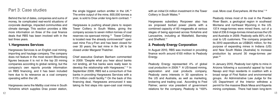with an initial £4 million investment in the Tower Colliery in South Wales.16

Hargreaves subsidiary Rocpower also has six proposed biofuel power plants with a combined capacity of 60 megawatts at various stages of being approved across Yorkshire and Lancashire, including at Wakefield, Barnsley and Sheffield.<sup>17</sup>

#### **2. Peabody Energy Corporation**

In August 2010, RBS was involved in providing finance worth around €100 million to Peabody Energy.

Peabody Energy represented 4% of global coal production in 2009.18 A US-based mining, exploration and coal products company, Peabody owns interests in 30 operations in the US and Australia, as well as marketing, brokering and trading coal. According to Fred Palmer, senior vice president of government relations for the company, Peabody is "100% coal. More coal. Everywhere. All the time." 19

Peabody mines most of its coal in the Powder River Basin, a geological region in southeast Montana and northeast Wyoming in the US. 137.4 mega-tonnes were mined there, out of a total of 236.6 mega-tonnes mined across the US and Australia in 2009. Peabody sells 85% of its coal to US customers. The company projected its 2010 expenditure as US\$625 million, for the purpose of expanding mines in Indiana (US) and New South Wales (Australia) to increase production by around 30 mega-tonnes per year.20

In January 2010, Peabody lost rights to mine in Arizona following a successful appeal by local Navajo and Hopi residents in coalition with a broad range of First Nation and environmental groups. An Administrative Law Judge for the US Department of the Interior withdrew a permit for the massive Black Mesa and Kayenta mining complexes. There had been long-term

### Part 3: Case studies

Behind the list of dates, companies and sums of money, lie complicated real-world situations of corporate dealings, impacted communities and climate damage. This section provides a little more information on three of the coal finance deals that RBS has been involved with in the last three years.

#### **1. Hargreaves Services**

Hargreaves Services is an English coal mining, importing and haulage company. The company does not feature in the most recent Bloomberg figures because it is not in the top 20 mining companies according to global ranking, but the company's own reports provide information on RBS financing, and it has been included here due to its relevance as a coal company operating within the UK.

Hargreaves owns the Maltby coal mine in South Yorkshire which supplies Drax power station, the single biggest carbon emitter in the UK.10 The entire output of the mine, 600,000 tonnes a year, is sold to Drax under long-term contract. 11

Hargreaves is pushing ahead plans to reopen Tower Colliery in South Wales, giving the company access to seven million tonnes of coal reserves via opencast mining.12 Tower Colliery is located near the already controversial<sup>13</sup> open cast mine Fos-y-Fran and has been closed for over 30 years; the last mine in the UK to be closed under Margaret Thatcher.

Chief executive Graham Banham commented in 2009: "Despite what you hear about banks not lending, all five banks were really keen to develop the relationship with Hargreaves." 14 In September 2009, RBS led a consortium of five banks in providing Hargreaves Services with a £115 million credit facility.<sup>15</sup> On the back of this financing deal, Hargreaves announced it was taking its first steps into open-cast coal mining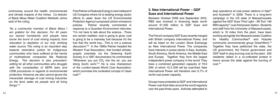#### **3. New International Power – GDF Suez and International Power**

Between October 2008 and September 2010, RBS was involved in financing deals worth around €1,500 million to GDF Suez and International Power.

The French company GDF Suez recently merged with British company International Power, and will be listed on the London Stock Exchange as New International Power. The companies have interests in power plants in Asia, Australia, South America, North America, the Middle East and Europe. Together they form the largest independent power company in the world. They have a combined generation capacity of 79.9 GW, of which 12.5 GW will be coal-fired. New International Power will therefore own 0.7% of world coal power capacity.

stop operations at coal power stations in Italy<sup>25</sup> and Australia<sup>26</sup> in 2009. There is a long-term campaign in the US state of Massachussets against the GDF Suez 'First Light – Mt Tom' 146 MW capacity<sup>27</sup> coal-fired power station. Students and staff from the University of Massachussets, which is 16 miles from the plant, have been working alongside the Massachussets Coalition for Healthy Communities<sup>28</sup> and Holyoke community environmental group GreenWork.29 Together they have petitioned the state, the US government, the French government and GDF itself to stop burning coal at the plant. 200 residents rallied in a co-ordinated protest in towns across the state against the burning of coal.30

Groups have protested at GDF and International Power coal-fired sites around the world regularly over the past three years. Activists attempted to

Fred Palmer is Peabody Energy's main lobbyist of US Congress where he is leading energy sector efforts to water down the US Environmental Protection Agency's proposed carbon emissions policies. Palmer recently commented in response to a Guardian Environment interview: "I'm not here to talk about the science…There are certain realities: coal is going to grow; coal is going to be a mainstay fuel because it's the fuel that the world has…This is not a science discussion."22 In the 1990s Palmer headed the Western Fuel Association, that funded climatesceptic scientists via the Greening Earth Society. In a 1997 documentary he commented: "Whenever you put  $CO<sub>2</sub>$  into the air, you are doing God's work."23 He is now chairperson of the London-based World Coal Association, which promotes the contested concept of 'clean  $c$ oal' $^{24}$ 

controversy around the health, environmental and climate impacts of the mines. Co-director of Black Mesa Water Coalition Wahleah Johns said of the ruling,

*"As a community member of Black Mesa I am grateful for this decision. For 40 years our sacred homelands and people have borne the brunt of coal mining impacts, from relocation to depletion of our only drinking water source. This ruling is an important step towards restorative justice for Indigenous communities who have suffered at the hands of multinational companies like Peabody Energy. This decision is also precedentsetting for all other communities who struggle with the complexities of NEPA laws and OSM procedures in regards to environmental protection. However, we also cannot ignore the irreversible damage of coal mining industries on the land, water, air, people and all living things."* <sup>21</sup>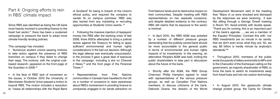First Nations' lands and its destructive impact on their communities. Despite meeting with RBS representatives on two separate occasions, and despite detailed evidence to the contrary, RBS still claims that its exposure to the sector is minimal.

• In April 2010, the RBS AGM was picketed by a number of different pressure groups demanding that the publicly-owned bank should be more accountable to the general public in terms of environmental and human rights impacts of its investments. In the evening, an alternative 'People's AGM' was held, inviting the public shareholders to take part in discussion about the future of the bank.

• Shortly after the AGM, the RBS Group Chairman Phillip Hampton agreed to meet with representatives of the various pressure groups, as well as Canadian First Nations members, to discuss criticisms of the bank. Deborah Doane, the director of the World

Development Movement said of the meeting that: "Many of us were shocked and dismayed by the responses we were receiving. It was like sitting through a George Orwell meeting in Room 101, faced entirely with double speak. 'Thank you for coming, this is an important part of the bank's agenda……we are a member of the Equator Principles.' Contrast this with: 'our RBS investments are so minute in tar sands, that we don't even know what they are.' Sir, we say, \$8 billion is hardly minute by anybody's standards."36

• Throughout 2010, members of the public wrote thousands of letters and emails to MPs and to the Chancellor of the Exchequer calling on the government, as majority shareholder of RBS, to force the bank to switch its investments away from fossil fuels and into low carbon technology.

• In August 2010, the grassroots climate change protest group, the Camp for Climate

Part 4: Ongoing efforts to rein in RBS' climate impact

Since RBS was identified as being the UK bank most heavily involved in providing finance to the fossil fuel sector, $31$  there has been a sustained campaign to pressure the bank to adopt more climate-friendly lending policies.

This campaign has included:

- Numerous student unions passing motions to take action against the presence of RBS branches on campus if they failed to change their ways. The motions, with the original coalbased research, appeared on the front page of the Guardian in 2008.32
- In the face of RBS' lack of movement on the issues, in October 2010 the University of Manchester Students' Union passed a motion to boycott RBS. The motion included a resolution to: "cease all relationships with the Royal Bank

of Scotland" for being in breach of the Union's ethical policy, and required the company to vacate its on campus premises. RBS was also barred from any marketing or recruiting opportunities at Students' Union events. 33

• Following the massive injection of taxpayers' money into RBS after the banking crisis of late 2008, three NGOs attempted to bring a judicial review against the Treasury for failing to apply sufficient environmental and human rights considerations in the bail out decision. Although the legal attempt was eventually unsuccessful, in the process it gave a great deal of exposure to the campaign, including a slot on Channel 4 News,34 and the front page of the Financial Times.35

• Representatives from First Nations communities in Canada have travelled to the UK on a number of occasions to raise awareness about RBS's involvement in providing finance to companies engaged in tar sands extraction on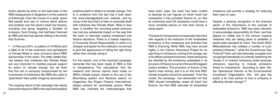have been used, the bank has been invited to disclose its own figures on which fossil fuel companies it has provided finance to, so that its customers (and UK taxpayers) could have a more complete picture on how their money is being spent.

This plea for transparency is especially important with regards to the reduction of the 'embedded emissions' of the companies and activities that RBS is financing. While RBS may have scored highly in the Carbon Disclosure Project for its reporting on emissions coming from energy use in its offices and bank branches, these emissions are dwarfed by the emissions embedded in its provision of finance to some of the world's biggest carbon emitters. This provision of finance is the bank's main activity, and it is on this that RBS' climate progress should be assessed. From the outset, the campaign has demanded not that RBS should immediately cease all fossil fuel finance, but that RBS calculate its embedded

emissions and provide a strategy for reducing them year on year.

Despite a growing recognition in the financial sector of the importance of the concept of embedded emissions, RBS has been reluctant to acknowledge responsibility for them, and has played no visible role in the various ongoing initiatives that are taking place to establish a sector-wide standard for them. The Dutch NGO Milieudefensie has collated a number of such existing initiatives,  $37$  while the Greenhouse Gas Protocol<sup>38</sup> (who set internationally accepted and recognised standards) is currently redefining the 'Scope 3' or 'indirect' emissions under business emissions reporting to include emissions linked to investments. According to Sam Gill, the Operational Director at the Environmental Investment Organisation, this: "will give the public a far truer picture of how a company is affecting climate change."39

Action pitched its tents on the back-lawn of the RBS headquarters in Gogarburn on the outskirts of Edinburgh. Over the course of a week, about 800 people took part in various direct actions and protests over the bank's fossil fuel finance, including one group targeting a Scottish oil company, Cairn Energy, that had been financed by RBS and that had started drilling in the Arctic that Summer..

• In February 2011, a coalition of 12 NGOs sent a letter to all of the endorsers and participants of Climate Week to raise concerns about RBS' sponsorship of the event. The letter stated that, "we believe that initiatives like Climate Week are very important to mobilise popular support for action on climate change, but we think that this aim is seriously compromised by the involvement of institutions like RBS who seek to 'greenwash' their public image by association."

The ongoing nature of the campaign has clearly had some impact on RBS in the way that it publicly positions itself in relation to climate change. This is in evidence from the fact that it took down the www.oilandgasbank.com website, and by virtue of the fact that it is keen to associate itself with initiatives like Climate Week. What is less clear is whether the mounting public pressure has had any substantial impact on the way that the bank is internally making investment and finance decisions. There is a classic trajectory of Corporate Social Responsibility in which it is cheaper and easier for the institution concerned to give the appearance of 'doing the right thing' rather than actually doing it.

For this reason, one of the important campaign demands that has been made of RBS is that of transparency. The calculations that the research and various reports have made on RBS's climate impact, based on the use of the Bloomberg system and literature search on magazines like Project Finance International, always present an incomplete picture. While RBS has criticized the methodologies that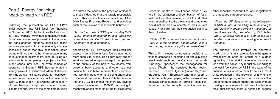Research Centre.<sup>42</sup> This finance plays a key role in the extraction and combustion of fossil fuels. Without this finance from RBS and other international banks, the projects and companies would not be able to operate at their current capacity, or carry out their expansion plans to their full extent.

*"Of this, 2.1% is to the oil and gas sector and 1.5% is to the electricity sector, which uses a mix of gas, nuclear, coal, oil and renewables."*

This 2.1% includes controversial decisions to finance companies exploring for and exploiting fossil fuels such as the Canadian tar sands (Enbridge Pipelines), $43$  the Madagascan tar sands (Total),<sup>44</sup> the sensitive border region between DRC and Uganda (Tullow Oil)<sup>45</sup> and the Arctic (Cairn Energy).<sup>46</sup> What may seem a small percentage on paper, in the real world has massive consequences in terms of ecological damage, harmful impacts on indigenous and

other fenceline communities, and megatonnes of embedded carbon emissions.

*"Since the UK Government's recapitalisation of RBS in 2008, our lending to the oil and gas and electricity sectors globally (measured by credit risk assets) has fallen by £9.1 billion and £11.2 billion respectively, and makes up a smaller proportion of our lending now than it did then."*

The financial crisis involved an enormous 'credit crunch,' that is, a reduction in the general availability of loans (or credit) or a sudden tightening of the conditions required to obtain a loan from the banks. Any reduction in lending to the fossil fuel sector by RBS in the wake of the financial crisis would appear to be as a result of its reduction in the provision of any kind of finance to anyone, rather than as a result of adopting more climate friendly policies. Without making commitments to address the issue of fossil fuel finance, there is nothing to suggest

### Part 5: Energy financing: head-to-head with RBS

Following the publication of PLATFORM's initial research into RBS fossil fuel financing in November 2007, the bank swiftly took down its trade website www.theoilandgasbank.com. From being a source of pride within the industry, the bank seemed suddenly conscious of the negative perception in an increasingly climateconscious public that this association could promote. Since then, rather than engage in any serious finance policy shifts, such as ruling out investments in companies or projects involved in tar sands, new coal, or even companies operating in Sudan,<sup>40</sup> RBS has generated a steady wave of PR initiatives to detract attention from the worst of its finance deals. Its most recent endeavour — the sponsorship of the nationwide event Climate Week — follows the same pattern of emphasising corporate concern about climate change, while at the same time refusing

to address the issue of the provision of finance to those industries that are largely responsible for it. This section takes extracts from RBS's 2010 Energy Financing Report,<sup>41</sup> and examines each of their claims of responsible behaviour.

*"Across the whole of RBS, approximately 3.6% of our lending (measured by total credit risk assets) is committed to the oil and gas and electricity sectors combined."*

According to RBS' own report, their credit risk assets in June 2010 in fossil fuels amounted to more than £15 billion. This figure may appear small expressed as a percentage in comparison to the entirety of the bank's risk assets from personal bank accounts and other business finance, but £15 billion represents an enormous 'real world' impact when it is being channelled to the fossil fuel sector. This £15 billion is more than the £12.6 billion that the entire UK devoted to green investment in 2009/10, according to recently released research by the Public Interest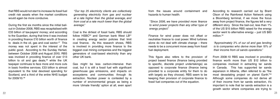from the issues around containment and hazards to human health.

*"Since 2006, we have provided more finance to wind power projects than any other type of energy project."*

Finance for wind power does not offset or neutralise finance to coal power. Wind turbines alone do not deal with climate change – there needs to be a concurrent move away from fossil fuel deployment.

According to research carried out by Brant Olson of the Rainforest Action Network using a Bloomberg terminal, if we move the focus away from project finance, the figures tell a very different story. Since the bail-out, less than 1% of the US \$15 billion RBS raised for the energy sector went to alternative energy – just US \$83 million.<sup>52</sup>

This figure also refers to the provision of project based finance (finance being provided to specific, discrete project undertakings) as opposed to corporate finance (finance being provided to a corporate entity for them to do with largely as they choose). RBS seem to be keeping their provision of corporate finance to fossil fuel companies out of the equation.

*"Approximately 3% of our oil and gas lending is to companies who derive more than 10% of their income from oil sands operations."*

From 2008-10 RBS was involved in providing finance worth more than US \$12 billion to companies involved in extracting tar sands in Canada. This has supported tar sands expansion in Alberta, often referred to as "the most devastating project on planet Earth."53 Although some companies do not derive all of their income from tar sands extraction, it's important to note that tar sands extraction is a growth sector where companies are trying to

that RBS would not start to increase its fossil fuel credit risk assets when the market conditions would again be more conducive.

During the first six months since the initial bailout in October 2008, RBS was recapitalised with £33 billion of tax-payers' money; and according to the Guardian, during that time it was involved in providing finance £10 billion worth of finance to deals in the oil, gas and coal sector. $47$  This money was not spent in the interest of the public good. According to the Sunday Herlad, between October 2008 and August 2010, RBS was involved in providing finance of over £13 billion to oil and gas deals, $48$  while the UK taxpayer continues to face more and more cuts in basic frontline services. £33 billion is almost equivalent to the total devolved spending for Scotland, and a third of the entire NHS budget for 2009/10.49

*"Our top 25 electricity clients are collectively generating electricity from gas and nuclear at a rate higher than the global average, and from coal at a rate much lower than the global average."* 

Coal is the dirtiest of fossil fuels; RBS should follow  $HSEC<sup>50</sup>$  and German bank West  $LB<sup>51</sup>$ in creating energy sector policies that limit coal finance. As this research shows, RBS is involved in providing more finance to the biggest coal mining companies and the biggest generators of coal-based electricity than any other UK bank.

Gas might be less carbon-intensive than coal, but it is still a fossil fuel with significant greenhouse gas emissions, and impacts on ecosystems and communities through its extraction. Nuclear power is contested by a number of environmental groups as being a more 'climate friendly' option at all, even apart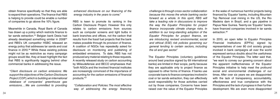*challenge is through cross-sector collaboration because this moves the whole banking sector forward as a whole. In this spirit, RBS will take a leading role in discussions to improve the way the Equator Principles for project finance incorporate climate change risks. In addition to our long-standing adoption of the Equator Principles for project finance, we are introducing revised environmental, social and ethical (ESE) risk policies governing our general lending to certain sectors, including the oil and gas sector."*

in the wake of numerous harmful projects being financed by 'Equator' banks, including Mountain Top Removal coal mining in the US, the Rio Madeira dam in Brazil, and a gas pipeline in Papua New Guinea. Twenty-six 'Equator' banks have financed companies involved in tar sands extraction.<sup>58</sup>

The Equator Principles (voluntary guidelines around best practice signed by 69 international banks) are limited in their scope, partly because they are applicable only to project finance as opposed to other forms of finance. If banks use corporate loans to finance companies involved in coal or tar sands extraction, they can effectively avoid responsibility for those activities carried out by those companies. Concerns have been raised over the value of the Equator Principles In 2010, an open letter to Equator Principles Financial Institutions (EPFIs) signed by representatives of over 80 civil society groups involved in bank campaigns all over the world expressed serious doubts about the usefulness of the Equator Principles. The letter said that, "we want to convey our growing concern about the apparent ineffectiveness of the Equator Principles initiative to help meet the profound social and environmental challenges of our times. After over six years we are disappointed with the lack of transparency, accountability, effectiveness and true compliance with the Principles and the lack of progress in their further development. We are even more disappointed

obtain finance specifically so that they are able to expand their operations. The finance that RBS is helping to provide could be enable a number of companies to go above the 10% figure.

Meanwhile in Canada, Royal Bank of Canada has drawn up a policy which restricts finance to tar sands extraction.54 Belgian bank Dexia had already developed something similar in 2008<sup>55</sup> and RBS's UK competitor HSBC released an energy policy that addresses tar sands and coal finance in  $2010$ .<sup>56</sup> While these existing policies might not be as restrictive as many campaign groups would like, they at least highlight the fact that RBS is significantly lagging behind other commercial banks in addressing the issue.

*"Client disclosure on carbon emissions: We support the objectives of the Carbon Disclosure Project (CDP), which is building an international database of companies' greenhouse gas emissions….We are committed to providing*  *enhanced disclosure on our financing of the energy industry in the years to come."*

RBS is keen to promote its ranking in the Carbon Disclosure Project. However this only relates to carbon emissions from sources such as computer screens and light bulbs in bank branches and offices, not the carbon that results from the fossil fuel projects that the bank makes possible through its provision of finance. A coalition of NGOs has repeatedly asked for disclosure on monitoring and publishing of embedded emissions. To date, RBS has not produced any material relating to these requests. A recently released study on carbon accounting by Milieudefensie and BECO emphasises that: "both NGOs and the involved financial institutes are increasingly convinced of the importance of accounting for the carbon emissions of financial products."57

*"Collaboration and Policies: The most effective way of addressing the energy financing*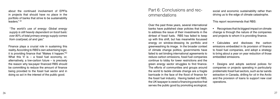### Part 6: Conclusions and rec ommendations

Over the past three years, several international banks have published clear policies that begin to address the issue of their investments in the dirtiest of fossil fuels. RBS has failed to keep up with this shift, but has meanwhile focussed energy on window-dressing its portfolio and greenwashing its image. In the broader context of climate change politics, governments have failed to set binding international agreements to reduce carbon emissions, fossil fuel companies continue to lobby for lower restrictions and the green energy sector struggles to find finance. The efforts of communities and groups around the world to tackle climate change are a fragile barricade in the face of the flood of finance for the fossil fuel industry. Having bailed out RBS, the UK taxpayer is owed a financing practice that serves the public good by promoting ecological,

social and economic sustainability rather than driving us to the edge of climate catastrophe.

This report recommends that RBS:

• Recognises that its biggest impact on climate change is through the nature of the companies and projects to whom it is providing finance.

• Calculates and discloses the carbon emissions embedded in its provision of finance to fossil fuel companies, and adopt a strategy to bring about a year on year reduction of those embedded emissions.

• Designs and adopts sectoral polices for companies or projects operating in particularly problematic fossil fuel sectors, such as tar sands extraction in Canada, drilling for oil in the Arctic and the provision of loans to support new coal operations.

about the continued involvement of EPFIs in projects that should have no place in the portfolio of banks that strive to be sustainability leaders." 59

*"The world's use of energy: Global energy supply is still heavily dependent on fossil fuels: over 80% of total primary energy supply comes from coal/peat, oil and gas."*

Finance plays a crucial role in sustaining this reality. According to RBS's own advertising logic, it is providing finance that "Makes it happen."60 What this 'it' is  $-$  a fossil fuel economy, or, alternatively, a low-carbon future – is precisely the reason why tax-payer financed RBS should be committing to reduce the amount of finance being provided to the fossil fuel sector and in doing so act in the interest of the public good.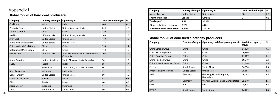## Appendix I

### **Global top 20 of hard coal producers**

| Company                   | <b>Country of Origin</b> | <b>Operating in</b>                                 | 2009 production (Mt) | $\%$ |
|---------------------------|--------------------------|-----------------------------------------------------|----------------------|------|
| Coal India                | India                    | India                                               | 404                  | 6.6  |
| Peabody Energy            | <b>United States</b>     | United States, Australia                            | 244                  | 4.0  |
| Shenhua Group             | China                    | China                                               | 210                  | 3.4  |
| <b>Rio Tinto</b>          | UK / Australia           | United States, Australia                            | 140                  | 2.3  |
| <b>Arch Coal</b>          | <b>United States</b>     | <b>United States</b>                                | 119                  | 1.9  |
| Alpha Natural Resources   | <b>United States</b>     | <b>United States</b>                                | 117                  | 1.9  |
| China National Coal Group | China                    | China                                               | 114                  | 1.7  |
| Datong Coal Mine Group    | China                    | China                                               | 113                  | 1.9  |
| <b>BHP Billiton</b>       | UK / Australia           | Australia, South Africa, United States,<br>Colombia | 105                  | 1.7  |
| Anglo American            | United Kingdom           | South Africa, Australia, Colombia                   | 96                   | 1.6  |
| <b>SUEK</b>               | Russia                   | Russia                                              | 88                   | 1.4  |
| Xstrata                   | Switzerland              | South Africa, Australia, Colombia                   | 86                   | 1.4  |
| <b>Bumi Resources</b>     | Indonesia                | Indonesia                                           | 63                   | 1.0  |
| <b>Consol Energy</b>      | <b>United States</b>     | <b>United States</b>                                | 60                   | 1.0  |
| Kompania Weglowa          | Poland                   | Poland                                              | 48                   | 0.8  |
| <b>KRU</b>                | <b>Russia</b>            | <b>Russia</b>                                       | 46                   | 0.8  |
| <b>Adaro Energy</b>       | Indonesia                | Indonesia                                           | 41                   | 0.7  |
| Sasol                     | South Africa             | South Africa                                        | 39                   | 0.6  |

| Alpha Natural Resources   | <b>United States</b> | <b>United States</b>                    | 117 | 1.9               | <b>Company</b>                       |               | Country of origin $\vert$ Operating coal-fired power plants in $\vert$ Coal-fired capacity | (MW)   | %             |
|---------------------------|----------------------|-----------------------------------------|-----|-------------------|--------------------------------------|---------------|--------------------------------------------------------------------------------------------|--------|---------------|
| China National Coal Group | China                | China                                   | 114 | 1.7               |                                      |               |                                                                                            |        |               |
| Datong Coal Mine Group    | China                | China                                   | 113 | 1.9               | China Datang Group                   | China         | China                                                                                      | 81,138 | 4.6           |
| <b>BHP Billiton</b>       | UK / Australia       | Australia, South Africa, United States, | 105 | 1.7               | China Huaneng Group                  | China         | China                                                                                      | 79,550 | 4.5           |
|                           |                      | Colombia                                |     |                   | China Guodian Group                  | China         | China                                                                                      | 71,287 | $ 4.1\rangle$ |
| Anglo American            | United Kingdom       | South Africa, Australia, Colombia       | 96  | 1.6               | China Huadian Group                  | China         | China                                                                                      | 59,940 | 3.4           |
| <b>SUEK</b>               | Russia               | Russia                                  | 88  | 1.4               | China Power Investment Group   China |               | China                                                                                      | 43,200 | 2.5           |
| Xstrata                   | Switzerland          | South Africa, Australia, Colombia       | 86  | 1.4               | Eskom                                | South Africa  | South Africa                                                                               | 34,658 | 2.0           |
| <b>Bumi Resources</b>     | Indonesia            | Indonesia                               | 63  | 1.0               | American Electric Power              | United States | <b>United States</b>                                                                       | 28,161 | 1.6           |
| <b>Consol Energy</b>      | <b>United States</b> | <b>United States</b>                    | 60  | 1.0               | <b>RWE</b>                           | Germany       | Germany, United Kingdom,                                                                   | 26,465 | 1.5           |
| Kompania Weglowa          | Poland               | Poland                                  | 48  | $\vert 0.8 \vert$ |                                      |               | Netherlands                                                                                |        |               |
| <b>KRU</b>                | Russia               | Russia                                  | 46  | 0.8               | E.ON                                 | Germany       | Western Europe, Russia, United States                                                      | 25,619 | 1.5           |
|                           |                      |                                         |     |                   | <b>NTPC</b>                          | India         | India                                                                                      | 25,375 | 1.4           |
| Adaro Energy              | Indonesia            | Indonesia                               | 41  | $\vert 0.7$       |                                      |               |                                                                                            |        |               |
| Sasol                     | South Africa         | South Africa                            | 39  | 0.6               | KEPCO                                | South Korea   | South Korea                                                                                | 24,205 | 1.4           |

| Company                           | <b>Country of Origin</b> | <b>Operating in</b>  | 2009 production (Mt) $\mid$ % |     |
|-----------------------------------|--------------------------|----------------------|-------------------------------|-----|
| Massey Energy                     | United States            | <b>United States</b> | 38                            | 0.6 |
| Sherrit International             | Canada                   | Canada               | 37                            | 0.6 |
| Total top-20                      | 2,171                    | 36.2%                |                               |     |
| Other coal mining companies       | 3,929                    | 63.8%                |                               |     |
| <b>World coal mine production</b> | 6,100                    | 100.0%               |                               |     |

#### **Global top 20 of coal-fired electricity producers**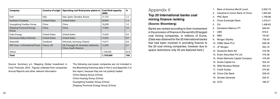| Company                                    | <b>Country of origin</b> | Operating coal-fired power plants in                            | <b>Coal-fired capacity</b><br>(MW) | $\%$ |
|--------------------------------------------|--------------------------|-----------------------------------------------------------------|------------------------------------|------|
| Enel                                       | Italy                    | Italy, Spain, Slovakia, Russia                                  | 21,735                             | 1.2  |
| Southern Company                           | <b>United States</b>     | <b>United States</b>                                            | 20,992                             | 1.2  |
| Guangdong Yuedian Group                    | China                    | China                                                           | 18,290                             | 1.0  |
| <b>Zhejiang Provincial Energy</b><br>Group | China                    | China                                                           | 17,943                             | 1.0  |
| Duke Energy                                | <b>United States</b>     | <b>United States</b>                                            | 15,435                             | 0.9  |
| <b>Tennessee Valley Authority</b>          | <b>United States</b>     | <b>United States</b>                                            | 15,032                             | 0.9  |
| Vattenfall                                 | Swedend                  | Denmark, Germany, Poland                                        | 14,417                             | 0.8  |
| GDF Suez + International Power             | France, UK               | UK, Portugal, US, Australia, Indonesia,<br>China, South America | 12,305                             | 0.7  |
| Others                                     |                          |                                                                 | 1,104,445                          | 62.8 |
| <b>Total</b>                               |                          |                                                                 | 1,759,000                          | 100  |

Source: Summary p.ii, 'Mapping Global Investment in Coal', Profundo, 2010. Figures collected from companies' Annual Reports and other relevant information.

The following coal power companies are not included in the Bloomberg financing data in Part 2 and Appendix II of this report, because they are not publicly traded: China Datang Group (China) China Huaneg Group (China) Guangdong Yuedian Group (China) Zhejiang Provincial Energy Group (China)

### Appendix II

#### **Top 20 International banks coal mining finance ranking**

#### **(Source: Bloomberg)**

Banks are ranked according to their involvement in the provision of finance in the world's 20 largest coal mining companies, in millions of Euros. (Data was obtained for the 35 international banks that had been involved in providing finance to the 20 coal mining companies, however due to space restrictions only 20 are featured here.)

| 1. | Bank of America Merrill Lynch      | 2,930.73 |
|----|------------------------------------|----------|
| 2. | Industrial & Comm Bank of China    | 1,825.66 |
| 3. | <b>PNC Bank</b>                    | 1,708.98 |
| 4. | China Everbright Bank              | 1,619.21 |
| 5. | Citi                               | 1,498.63 |
| 6. | Danatama Makmur PT                 | 846.65   |
| 7. | <b>UBS</b>                         | 819.9    |
|    | 8. RBS                             | 791.87   |
|    | 9. Morgan Stanley                  | 759.45   |
|    | 10. HSBC Bank PLC                  | 639.39   |
|    | 11. JP Morgan                      | 554.19   |
|    | 12. Deutsche Bank AG               | 416.38   |
|    | 13. Enam Securities Pvt Ltd        | 416.38   |
|    | 14. Kotak Mahindra Capital Company | 416.38   |
|    | 15. Scotia Capital Inc             | 354.43   |
|    | 16. Stifel Nicolaus Weisel         | 354.43   |
|    | 17. Credit Suisse                  | 274.56   |
|    | 18. China Citic Bank               | 206.45   |
|    | 19. Societe Generale               | 200.01   |
|    | <b>20. ICICI</b>                   | 166.27   |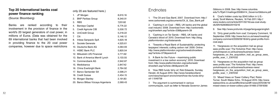only 20 are featured here.)

| 1. | JP Morgan                           | 8,610.16 |
|----|-------------------------------------|----------|
| 2. | <b>BNP Paribas Group</b>            | 8,340.01 |
| 3. | <b>RBS</b>                          | 7,201.82 |
| 4. | <b>Barclays Capital</b>             | 6,774.22 |
| 5. | Credit Agricole CIB                 | 5,530.72 |
| 6. | UniCredit Group                     | 5,218.22 |
| 7. | Citi                                | 5,146.12 |
| 8. | Intesa Sanpaolo SpA                 | 4,620.18 |
| 9. | Societe Generale                    | 4,525.61 |
|    | 10. Deutsche Bank AG                | 4,064.93 |
|    | 11. HSBC Bank PLC                   | 3,820.54 |
|    | 12. Mitsubishi UFJ Financial        | 3,771.92 |
|    | 13. Bank of America Merrill Lynch   | 3,133.55 |
|    | 14. Commerzbank AG                  | 2,942.87 |
|    | 15. Mediobanca                      | 2,847.42 |
|    | 16. China Everbright Bank           | 2,764.92 |
|    | 17. Banco Santander SA              | 2,596.21 |
|    | 18. Credit Suisse                   | 2,454.15 |
|    | 19. Morgan Stanley                  | 2,191.83 |
|    | 20. Banco Bilbao Vizcaya Argentaria | 2,069.43 |

### **Endnotes**

#### **Top 20 International banks coal power finance ranking**

(Source: Bloomberg)

Banks are ranked according to their involvement in the provision of finance in the world's 20 largest generators of coal power, in millions of Euros. (Data was obtained for the 69 international banks that had been involved in providing finance to the 20 coal power companies, however due to space restrictions

1. 'The Oil and Gas Bank', 2007. Download from: http:// www.carbonweb.org/documents/Oil\_&\_Gas\_Bank.pdf

2. 'Cashing in on Coal – RBS, UK banks and the global coal industry' 2008. Download from: http://carbonweb. org/showitem.asp?article=338&parent=39

> 11. 'Hargreaves on the acquisition trail as group sees profits soar', The Yorkshire Post. http://www. yorkshirepost.co.uk/business/business-news/ hargreaves on the acquisition trail as group sees profits\_soar\_1\_2301032

3. 'Cashing in on Tar Sands – RBS, UK banks and Canada's blood oil' 2010. Download from: http://blog. platformlondon.org/rbstarsands

> 12. 'Hargreaves on the acquisition trail as group sees profits soar', The Yorkshire Post. http://www. yorkshirepost.co.uk/business/business-news/ hargreaves on the acquisition trail as group sees profits\_soar\_1\_2301032

4. 'Towards a Royal Bank of Sustainability: protecting taxpayers' interests; cutting carbon risk' 2009. Online: http://www.platformlondon.org/carbonweb/showitem. asp?article=373&parent=9

5. 'A Bank for the Future – maximising public investment in a low carbon economy", 2010. Download from: http://www.platformlondon.org/carbonweb/ showitem.asp?article=384&parent=39

6. 'How RBS funds 'dirty oil', Rob Edwards, Sunday Herald, 22 August 2010. http://www.heraldscotland. com/news/transport-environment/how-rbs-funds-dirtyoil-1.1049758

7. The argument is summarised in various communiqués, such as letter to Nevada Governor James Gibbons in 2008. See: http://www.columbia. edu/%7Ejeh1/mailings/20080414\_GovernorGibbons.pdf

8. 'Coal's hidden costs top \$345 billion in U.S. study,' Scott Malone, Reuters, 16 Feb 2011. http:// www.reuters.com/article/2011/02/16/usa-coal-studyidUSN1628366220110216

9. See http://www.profundo.nl/page/language/english

10. 'Dirty great profits from coal', Company Comment, 18 September 2009. http://www.fool.co.uk/news/investing/ company-comment/2009/09/18/dirty-great-profits-fromcoal.aspx

13. 'Mixed Views on Tower Colliery Plan', Robin Turner, South Wales Echo, 19 August 2010. http://www. walesonline.co.uk/cardiffonline/cardiff-news/2010/08/19/ mixed-views-on-tower-colliery-plan-91466-27091836/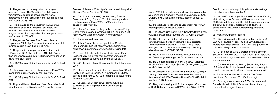See: http://www.wdm.org.uk/blog/blog-post-meetingphilip-hampton-chairman-rbs-0

37. Carbon Footprinting of Financed Emissions, Existing Methodologies, A Review and Recommendations', 2009, Milieudefensie and BECO. http://www.banktrack. org/download/carbon\_footprinting\_of\_financed\_ emissions/110216 carbon footprinting financed emissions.pdf

38. http://www.ghgprotocol.org/

39. 'Big business still not tackling carbon emissions', Sam Gill, Reuters website, 16 Feb 2011. http://blogs. reuters.com/great-debate-uk/2011/02/16/big-businessstill-not-tackling-carbon-emissions/

14. 'Hargreaves on the acquisition trail as group sees profits soar', The Yorkshire Post. http://www. yorkshirepost.co.uk/business/business-news/ hargreaves on the acquisition trail as group sees profits\_soar\_1\_2301032

> 40. 'Oil companies & RBS profited off state terror in Sudan', PLATFORM blog, 14 June 2010. See: http://blog. platformlondon.org/content/oil-companies-rbs-profitedstate-terror-sudan

15. 'Hargreaves on the acquisition trail as group sees profits soar', The Yorkshire Post. http://www. yorkshirepost.co.uk/business/business-news/ hargreaves\_on\_the\_acquisition\_trail\_as\_group\_sees\_ profits\_soar\_1\_2301032

> 41. 'Our financing of the Energy Sector', Royal Bank of Scotland, 2010. http://www.rbs.com/downloads/pdf/ about\_rbs/sustainability/EnergyFinancingReport.pdf

42. Public Interest Research Centre, The Green Investment Gap, March 2011 (forthcoming)

43. 'Cashing in on tar sands – RBS, UK banks and Canada's blood oil' 2010. Download from: http://blog. platformlondon.org/rbstarsands

16. 'Hargreaves Services', The Times online, 16 September 2009. http://business.timesonline.co.uk/tol/ business/columnists/article6836131.ece

30. 'Massachussets Rallying to Stop Coal!', http://www. securegreenfuture.org/coal\_rallies

17. 'Rocpower to redesign plans for biofuel plant', 1 December 2010, The BioEnergy Site. http://www. thebioenergysite.com/news/7596/rocpower-to-redesignplans-for-biofuel-plant

18. p.41, 'Mapping Global Investment in Coal', Profundo, 2010

19. http://www.guardian.co.uk/environment/blog/2011/ mar/08/fred-palmer-peabody-coal-interview

20. p.42, 'Mapping Global Investment in Coal', Profundo, 2010

21. 'Hopi and Navajo Residents Stop Peabody's Coal Mine Expansion on Black Mesa', Sierra Club Press

Release, 8 January 2010. http://action.sierraclub.org/site/ MessageViewer?em\_id=152101.0

22. 'Fred Palmer Interview', Leo Hickman, Guardian Environment Blog, 8 March 2011. http://www.guardian. co.uk/environment/blog/2011/mar/08/fred-palmerpeabody-coal-interview

23. 'Clean Coal Says Emitting Carbon Dioxide = Doing God's Work', uploaded by 'greenkert', 22 February 2009. http://www.youtube.com/watch?v=Vr9kanvxa6A

24. http://www.worldcoal.org/

25. 'Italian Power Plants Occupied', Alex Morales, Bloomberg, 8 july 2009. http://www.bloomberg.com/ apps/news?pid=newsarchive&sid=apxbBCOhddoU

26. 'Green Activists Protest at Australia Power Plant', Dalje, 21 May 2009. http://dalje.com/en-world/greenactivists-protest-at-australia-power-plant/259575

27. p.71, 'Mapping Global Investment in Coal', Profundo, 2010

28. 'Students and faculty fight for cuts in coal use', Sarah Hardy, The Daily Collegian, 28 November 2010. http:// dailycollegian.com/2010/11/28/students-and-faculty-fightfor-cuts-in-coal-use/

29. 'Activists call Mt Tom power plant's future into question', Sarah Fitzgibbons, The Smith College Sophian, 3

March 2011. http://media.www.smithsophian.com/media/ storage/paper587/news/2011/03/03/News/Activists.Call. Mt.Tom.Power.Plants.Future.Into.Question-3982552. shtml

31. 'The Oil and Gas Bank', 2007. Download from: http:// www.carbonweb.org/documents/Oil\_&\_Gas\_Bank.pdf

32. 'Climate change: High street banks face consumer boycott over investment in coal projects,' Terry Macalister, Guardian, 11 August 2008. http:// www.guardian.co.uk/business/2008/aug/11/banking. ethicalbusiness?INTCMP=SRCH

33. 'Manchester Students Vote to Boycott RBS'. See http://www.indymedia.org.uk/en/2010/10/466529.html

34. 'RBS legal challenge c4 news 30/06/09', uploaded by 'dilaters' on 7 July 2009. See http://www.youtube.com/ watch?v=t-Xch-zYls8

35. 'Green groups to sue over RBS investments', Megan Murphy, Financial Times, 29 June 2009. http://www. ft.com/cms/s/0/8007e284-64ef-11de-a13f-00144feabdc0. html#axzz1GNuLGmeU

36. 'Blog post: meeting with Philip Hampton, Chairman of RBS', Deborah Doane, WDM Website, 30 April 2010.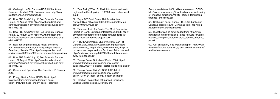Recommendations', 2009, Milieudefensie and BECO. http://www.banktrack.org/download/carbon\_footprinting\_ of financed emissions/110216 carbon footprinting financed\_emissions.pdf

58. 'Cashing in on Tar Sands – RBS, UK banks and Canada's blood oil' 2010. Download from: http://blog. platformlondon.org/rbstarsands

59. The letter can be downloaded from: http://www. banktrack.org/download/bold\_steps\_forward\_towards equator principles that deliver to people and the planet

60. "Our philosophy is to 'Make it happen'", http://www. rbs.co.uk/corporate/banking/g2/expert-industry-teams/ retail-wholesale.ashx

44. 'Cashing in on Tar Sands – RBS, UK banks and Canada's blood oil' 2010. Download from: http://blog. platformlondon.org/rbstarsands

45. 'How RBS funds 'dirty oil', Rob Edwards, Sunday Herald, 22 August 2010. http://www.heraldscotland. com/news/transport-environment/how-rbs-funds-dirtyoil-1.1049758

46. 'How RBS funds 'dirty oil', Rob Edwards, Sunday Herald, 22 August 2010. http://www.heraldscotland. com/news/transport-environment/how-rbs-funds-dirtyoil-1.1049758

47. 'New banking rules should reveal emissions from investment, campaigners say', Allegra Stratton, Guardian, 2 March 2009. http://www.guardian.co.uk/ environment/2009/mar/02/rbs-environmental-regulations

48. 'How RBS funds 'dirty oil', Rob Edwards, Sunday Herald, 22 August 2010. http://www.heraldscotland. com/news/transport-environment/how-rbs-funds-dirtyoil-1.1049758

49. 'Government Spending', The Guardian, 18 October 2010.

50. 'Energy Sector Policy', HSBC, 2010. http:// www.banktrack.org/download/energy\_sector\_ policy\_1/110124\_hsbc\_energy\_sector\_policy.pdf 51. 'Coal Policy', WestLB, 2009. http://www.banktrack. org/download/coal\_policy\_1/100130\_coal\_policy\_west\_ lb.pdf

52. 'Royal BS', Brant Olsen, Rainforest Action Network Blog, 19 August 2010. http://understory.ran. org/2010/08/19/royal-bs/

53. 'Canada's Toxic Tar Sands: The Most Destructive Project on Earth', Environmental Defense, 2008. http:// environmentaldefence.ca/reports/canadas-toxic-tarsands-most-destructive-project-earth

54. 'RBC Environmental Blueprint', Royal Bank of Canada, 2010. http://www.banktrack.org/download/ environmental blueprint/rbc environmental blueprint. pdf Also see response from Rainforest Action Network: http://understory.ran.org/2010/12/22/rbc-takes-a-stepaway-from-tar-sands/

55. 'Energy Sector Guidelines', Dexia, 2008. http:// www.banktrack.org/download/energy\_sector\_ guidelines/20081110\_energy\_sector\_guidelines\_uk.pdf

56. 'Energy Sector Policy', HSBC, 2010. http:// www.banktrack.org/download/energy\_sector\_ policy\_1/110124\_hsbc\_energy\_sector\_policy.pdf

57. Carbon Footprinting of Financed Emissions, Existing Methodologies, A Review and